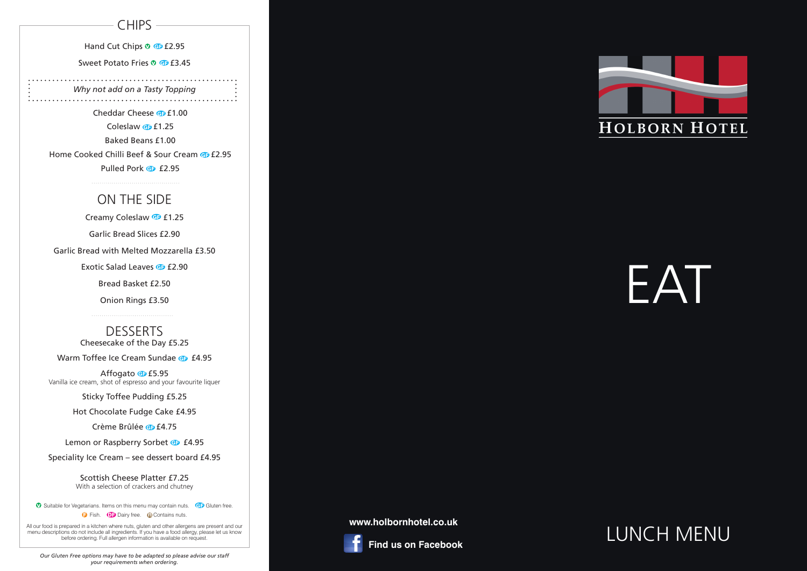#### **CHIPS**

Hand Cut Chips <sup>®</sup> **G** £2.95

Sweet Potato Fries <sup>o</sup> **G** £3.45

# EAT

# LUNCH MENU

*Why not add on a Tasty Topping*  

Cheddar Cheese **G** £1.00 Coleslaw  $\bigoplus$  £1.25 Baked Beans £1.00 Home Cooked Chilli Beef & Sour Cream @ £2.95 Pulled Pork **G** £2.95

## ON THE SIDE

Creamy Coleslaw **G** £1.25 Garlic Bread Slices £2.90 Garlic Bread with Melted Mozzarella £3.50 Exotic Salad Leaves **G** £2.90 Bread Basket £2.50 Onion Rings £3.50

> **DESSERTS** Cheesecake of the Day £5.25

Warm Toffee Ice Cream Sundae **G** £4.95

Affogato **G** £5.95 Vanilla ice cream, shot of espresso and your favourite liquer

Sticky Toffee Pudding £5.25

Hot Chocolate Fudge Cake £4.95

Crème Brûlée **@** £4.75

Lemon or Raspberry Sorbet **G** £4.95

Speciality Ice Cream – see dessert board £4.95

Scottish Cheese Platter £7.25 With a selection of crackers and chutney

**v** Suitable for Vegetarians. Items on this menu may contain nuts. GD Gluten free. **D** Fish. **D** Dairy free. **Q** Contains nuts.

#### **www.holbornhotel.co.uk**



 **Find us on Facebook**



All our food is prepared in a kitchen where nuts, gluten and other allergens are present and our menu descriptions do not include all ingredients. If you have a food allergy, please let us know before ordering. Full allergen information is available on request.

*Our Gluten Free options may have to be adapted so please advise our staff your requirements when ordering.*